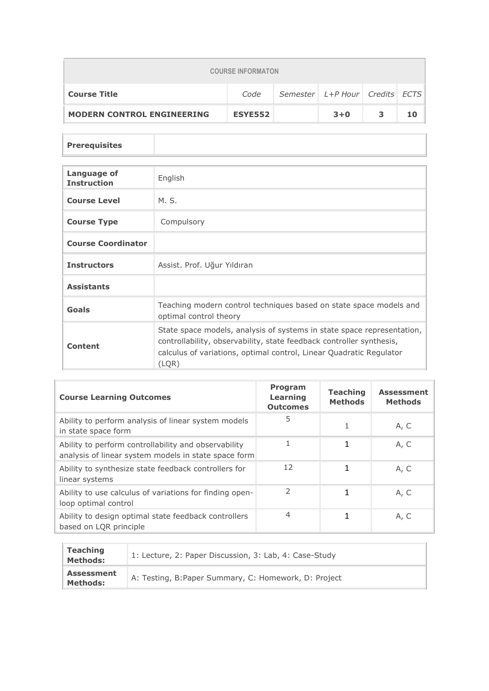| <b>COURSE INFORMATON</b>                                      |                |  |         |   |    |  |  |
|---------------------------------------------------------------|----------------|--|---------|---|----|--|--|
| Semester L+P Hour Credits ECTS<br><b>Course Title</b><br>Code |                |  |         |   |    |  |  |
| <b>MODERN CONTROL ENGINEERING</b>                             | <b>ESYE552</b> |  | $3 + 0$ | 3 | 10 |  |  |

## **Prerequisites**

| Language of<br><b>Instruction</b> | English                                                                                                                                                                                                                        |
|-----------------------------------|--------------------------------------------------------------------------------------------------------------------------------------------------------------------------------------------------------------------------------|
| <b>Course Level</b>               | M. S.                                                                                                                                                                                                                          |
| <b>Course Type</b>                | Compulsory                                                                                                                                                                                                                     |
| <b>Course Coordinator</b>         |                                                                                                                                                                                                                                |
| <b>Instructors</b>                | Assist. Prof. Uğur Yıldıran                                                                                                                                                                                                    |
| <b>Assistants</b>                 |                                                                                                                                                                                                                                |
| Goals                             | Teaching modern control techniques based on state space models and<br>optimal control theory                                                                                                                                   |
| Content                           | State space models, analysis of systems in state space representation,<br>controllability, observability, state feedback controller synthesis,<br>calculus of variations, optimal control, Linear Quadratic Regulator<br>(LQR) |

| <b>Course Learning Outcomes</b>                                                                              | <b>Program</b><br><b>Learning</b><br><b>Outcomes</b> | <b>Teaching</b><br><b>Methods</b> | <b>Assessment</b><br><b>Methods</b> |
|--------------------------------------------------------------------------------------------------------------|------------------------------------------------------|-----------------------------------|-------------------------------------|
| Ability to perform analysis of linear system models<br>in state space form                                   | 5                                                    |                                   | A, C                                |
| Ability to perform controllability and observability<br>analysis of linear system models in state space form |                                                      | 1                                 | A, C                                |
| Ability to synthesize state feedback controllers for<br>linear systems                                       | 12                                                   | 1                                 | A, C                                |
| Ability to use calculus of variations for finding open-<br>loop optimal control                              | C,                                                   | 1                                 | A, C                                |
| Ability to design optimal state feedback controllers<br>based on LQR principle                               | $\overline{4}$                                       | 1                                 | A, C                                |

| <b>Teaching</b><br><b>Methods:</b>   | 1: Lecture, 2: Paper Discussion, 3: Lab, 4: Case-Study |
|--------------------------------------|--------------------------------------------------------|
| <b>Assessment</b><br><b>Methods:</b> | A: Testing, B: Paper Summary, C: Homework, D: Project  |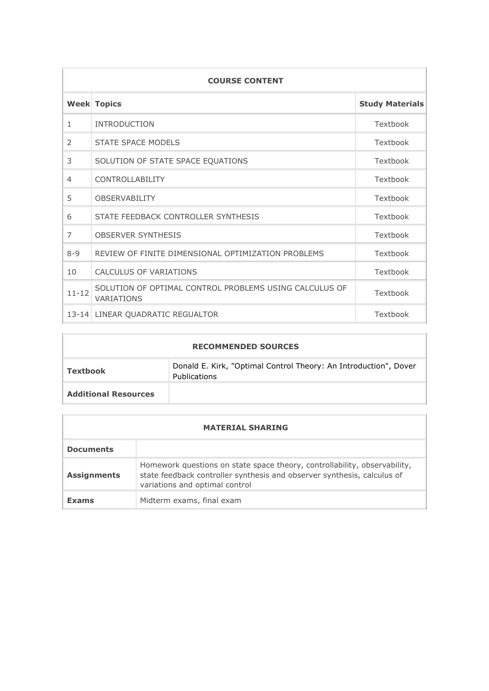| <b>COURSE CONTENT</b> |                                                                      |                        |  |  |  |
|-----------------------|----------------------------------------------------------------------|------------------------|--|--|--|
|                       | <b>Week Topics</b>                                                   | <b>Study Materials</b> |  |  |  |
| $\mathbf{1}$          | <b>INTRODUCTION</b>                                                  | Textbook               |  |  |  |
| $\mathcal{P}$         | STATE SPACE MODELS                                                   | Textbook               |  |  |  |
| 3                     | SOLUTION OF STATE SPACE EQUATIONS                                    | Textbook               |  |  |  |
| $\overline{4}$        | <b>CONTROLLABILITY</b>                                               | Textbook               |  |  |  |
| 5                     | <b>OBSERVABILITY</b>                                                 | Textbook               |  |  |  |
| 6                     | STATE FEEDBACK CONTROLLER SYNTHESIS                                  | Textbook               |  |  |  |
| $\overline{7}$        | <b>OBSERVER SYNTHESIS</b>                                            | Textbook               |  |  |  |
| $8 - 9$               | REVIEW OF FINITE DIMENSIONAL OPTIMIZATION PROBLEMS                   | Textbook               |  |  |  |
| 10                    | <b>CALCULUS OF VARIATIONS</b>                                        | Textbook               |  |  |  |
| $11 - 12$             | SOLUTION OF OPTIMAL CONTROL PROBLEMS USING CALCULUS OF<br>VARIATIONS | Textbook               |  |  |  |
|                       | 13-14 LINEAR QUADRATIC REGUALTOR                                     | Textbook               |  |  |  |

| <b>RECOMMENDED SOURCES</b>  |                                                                                         |  |  |  |  |
|-----------------------------|-----------------------------------------------------------------------------------------|--|--|--|--|
| Textbook                    | Donald E. Kirk, "Optimal Control Theory: An Introduction", Dover<br><b>Publications</b> |  |  |  |  |
| <b>Additional Resources</b> |                                                                                         |  |  |  |  |

 $\Box$ 

| <b>MATERIAL SHARING</b> |                                                                                                                                                                                        |  |  |  |
|-------------------------|----------------------------------------------------------------------------------------------------------------------------------------------------------------------------------------|--|--|--|
| <b>Documents</b>        |                                                                                                                                                                                        |  |  |  |
| <b>Assignments</b>      | Homework questions on state space theory, controllability, observability,<br>state feedback controller synthesis and observer synthesis, calculus of<br>variations and optimal control |  |  |  |
| <b>Exams</b>            | Midterm exams, final exam                                                                                                                                                              |  |  |  |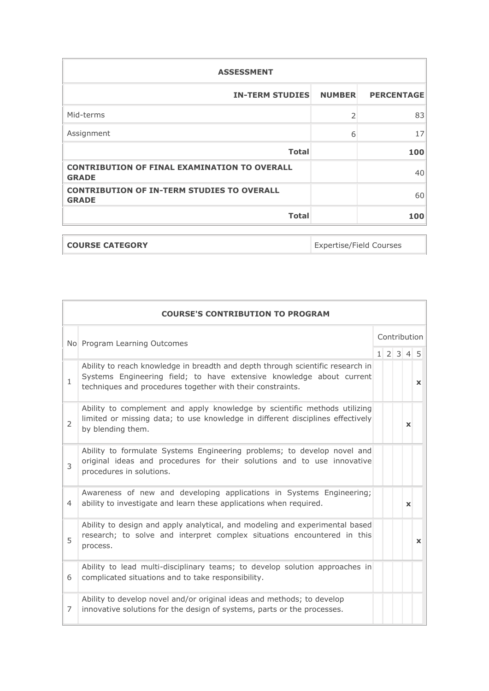| <b>ASSESSMENT</b>                                                   |               |                   |
|---------------------------------------------------------------------|---------------|-------------------|
| <b>IN-TERM STUDIES</b>                                              | <b>NUMBER</b> | <b>PERCENTAGE</b> |
| Mid-terms                                                           | フ             | 83                |
| Assignment                                                          | 6             | 17                |
| <b>Total</b>                                                        |               | 100               |
| <b>CONTRIBUTION OF FINAL EXAMINATION TO OVERALL</b><br><b>GRADE</b> |               | 40                |
| <b>CONTRIBUTION OF IN-TERM STUDIES TO OVERALL</b><br><b>GRADE</b>   |               | 60                |
| <b>Total</b>                                                        |               | 100               |

| <b>COURSE CATEGORY</b> | Expertise/Field Courses |
|------------------------|-------------------------|

|                | <b>COURSE'S CONTRIBUTION TO PROGRAM</b>                                                                                                                                                                              |  |  |              |              |                     |  |
|----------------|----------------------------------------------------------------------------------------------------------------------------------------------------------------------------------------------------------------------|--|--|--------------|--------------|---------------------|--|
|                | No Program Learning Outcomes                                                                                                                                                                                         |  |  | Contribution |              |                     |  |
|                |                                                                                                                                                                                                                      |  |  |              |              | $1 \t2 \t3 \t4 \t5$ |  |
| $\mathbf{1}$   | Ability to reach knowledge in breadth and depth through scientific research in<br>Systems Engineering field; to have extensive knowledge about current<br>techniques and procedures together with their constraints. |  |  |              |              | $\mathbf{x}$        |  |
| $\overline{2}$ | Ability to complement and apply knowledge by scientific methods utilizing<br>limited or missing data; to use knowledge in different disciplines effectively<br>by blending them.                                     |  |  |              | $\mathbf{x}$ |                     |  |
| $\mathcal{E}$  | Ability to formulate Systems Engineering problems; to develop novel and<br>original ideas and procedures for their solutions and to use innovative<br>procedures in solutions.                                       |  |  |              |              |                     |  |
| 4              | Awareness of new and developing applications in Systems Engineering;<br>ability to investigate and learn these applications when required.                                                                           |  |  |              | $\mathbf{x}$ |                     |  |
| 5              | Ability to design and apply analytical, and modeling and experimental based<br>research; to solve and interpret complex situations encountered in this<br>process.                                                   |  |  |              |              | $\mathbf{x}$        |  |
| 6              | Ability to lead multi-disciplinary teams; to develop solution approaches in<br>complicated situations and to take responsibility.                                                                                    |  |  |              |              |                     |  |
| 7              | Ability to develop novel and/or original ideas and methods; to develop<br>innovative solutions for the design of systems, parts or the processes.                                                                    |  |  |              |              |                     |  |